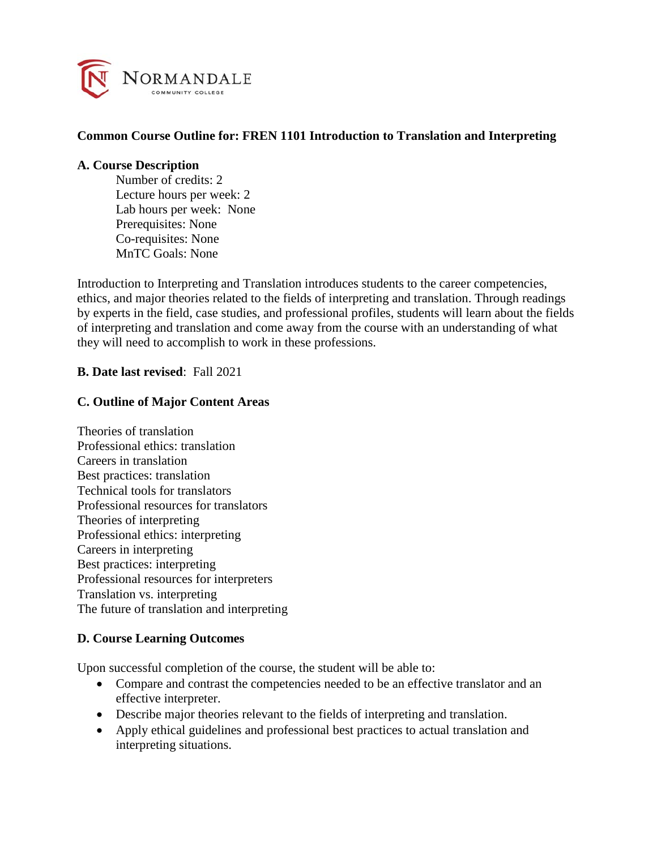

## **Common Course Outline for: FREN 1101 Introduction to Translation and Interpreting**

#### **A. Course Description**

Number of credits: 2 Lecture hours per week: 2 Lab hours per week: None Prerequisites: None Co-requisites: None MnTC Goals: None

Introduction to Interpreting and Translation introduces students to the career competencies, ethics, and major theories related to the fields of interpreting and translation. Through readings by experts in the field, case studies, and professional profiles, students will learn about the fields of interpreting and translation and come away from the course with an understanding of what they will need to accomplish to work in these professions.

### **B. Date last revised**: Fall 2021

### **C. Outline of Major Content Areas**

Theories of translation Professional ethics: translation Careers in translation Best practices: translation Technical tools for translators Professional resources for translators Theories of interpreting Professional ethics: interpreting Careers in interpreting Best practices: interpreting Professional resources for interpreters Translation vs. interpreting The future of translation and interpreting

#### **D. Course Learning Outcomes**

Upon successful completion of the course, the student will be able to:

- Compare and contrast the competencies needed to be an effective translator and an effective interpreter.
- Describe major theories relevant to the fields of interpreting and translation.
- Apply ethical guidelines and professional best practices to actual translation and interpreting situations.